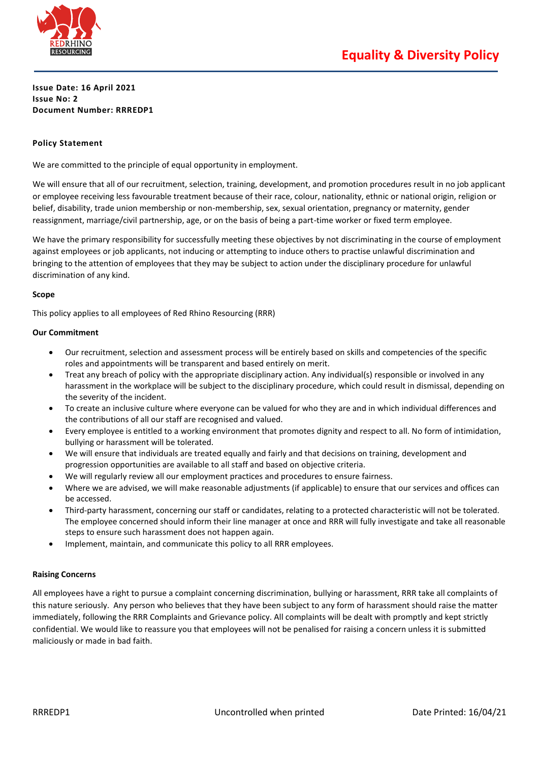

## **Issue Date: 16 April 2021 Issue No: 2 Document Number: RRREDP1**

## **Policy Statement**

We are committed to the principle of equal opportunity in employment.

We will ensure that all of our recruitment, selection, training, development, and promotion procedures result in no job applicant or employee receiving less favourable treatment because of their race, colour, nationality, ethnic or national origin, religion or belief, disability, trade union membership or non-membership, sex, sexual orientation, pregnancy or maternity, gender reassignment, marriage/civil partnership, age, or on the basis of being a part-time worker or fixed term employee.

We have the primary responsibility for successfully meeting these objectives by not discriminating in the course of employment against employees or job applicants, not inducing or attempting to induce others to practise unlawful discrimination and bringing to the attention of employees that they may be subject to action under the disciplinary procedure for unlawful discrimination of any kind.

## **Scope**

This policy applies to all employees of Red Rhino Resourcing (RRR)

#### **Our Commitment**

- Our recruitment, selection and assessment process will be entirely based on skills and competencies of the specific roles and appointments will be transparent and based entirely on merit.
- Treat any breach of policy with the appropriate disciplinary action. Any individual(s) responsible or involved in any harassment in the workplace will be subject to the disciplinary procedure, which could result in dismissal, depending on the severity of the incident.
- To create an inclusive culture where everyone can be valued for who they are and in which individual differences and the contributions of all our staff are recognised and valued.
- Every employee is entitled to a working environment that promotes dignity and respect to all. No form of intimidation, bullying or harassment will be tolerated.
- We will ensure that individuals are treated equally and fairly and that decisions on training, development and progression opportunities are available to all staff and based on objective criteria.
- We will regularly review all our employment practices and procedures to ensure fairness.
- Where we are advised, we will make reasonable adjustments (if applicable) to ensure that our services and offices can be accessed.
- Third-party harassment, concerning our staff or candidates, relating to a protected characteristic will not be tolerated. The employee concerned should inform their line manager at once and RRR will fully investigate and take all reasonable steps to ensure such harassment does not happen again.
- Implement, maintain, and communicate this policy to all RRR employees.

## **Raising Concerns**

All employees have a right to pursue a complaint concerning discrimination, bullying or harassment, RRR take all complaints of this nature seriously. Any person who believes that they have been subject to any form of harassment should raise the matter immediately, following the RRR Complaints and Grievance policy. All complaints will be dealt with promptly and kept strictly confidential. We would like to reassure you that employees will not be penalised for raising a concern unless it is submitted maliciously or made in bad faith.